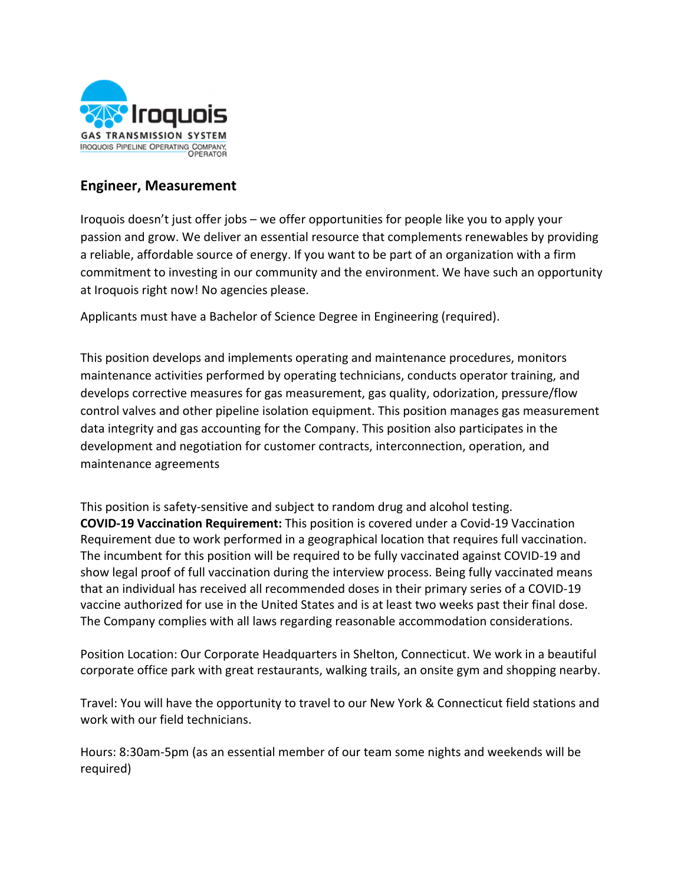

## **Engineer, Measurement**

Iroquois doesn't just offer jobs – we offer opportunities for people like you to apply your passion and grow. We deliver an essential resource that complements renewables by providing a reliable, affordable source of energy. If you want to be part of an organization with a firm commitment to investing in our community and the environment. We have such an opportunity at Iroquois right now! No agencies please.

Applicants must have a Bachelor of Science Degree in Engineering (required).

This position develops and implements operating and maintenance procedures, monitors maintenance activities performed by operating technicians, conducts operator training, and develops corrective measures for gas measurement, gas quality, odorization, pressure/flow control valves and other pipeline isolation equipment. This position manages gas measurement data integrity and gas accounting for the Company. This position also participates in the development and negotiation for customer contracts, interconnection, operation, and maintenance agreements

This position is safety‐sensitive and subject to random drug and alcohol testing. **COVID‐19 Vaccination Requirement:** This position is covered under a Covid‐19 Vaccination Requirement due to work performed in a geographical location that requires full vaccination. The incumbent for this position will be required to be fully vaccinated against COVID‐19 and show legal proof of full vaccination during the interview process. Being fully vaccinated means that an individual has received all recommended doses in their primary series of a COVID‐19 vaccine authorized for use in the United States and is at least two weeks past their final dose. The Company complies with all laws regarding reasonable accommodation considerations.

Position Location: Our Corporate Headquarters in Shelton, Connecticut. We work in a beautiful corporate office park with great restaurants, walking trails, an onsite gym and shopping nearby.

Travel: You will have the opportunity to travel to our New York & Connecticut field stations and work with our field technicians.

Hours: 8:30am‐5pm (as an essential member of our team some nights and weekends will be required)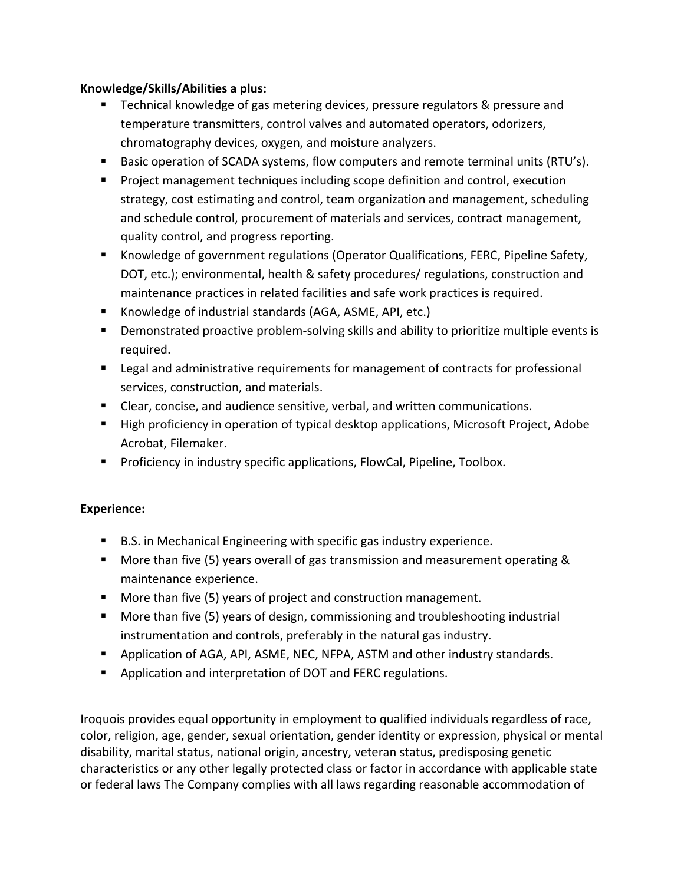## **Knowledge/Skills/Abilities a plus:**

- **Technical knowledge of gas metering devices, pressure regulators & pressure and** temperature transmitters, control valves and automated operators, odorizers, chromatography devices, oxygen, and moisture analyzers.
- Basic operation of SCADA systems, flow computers and remote terminal units (RTU's).
- **Project management techniques including scope definition and control, execution** strategy, cost estimating and control, team organization and management, scheduling and schedule control, procurement of materials and services, contract management, quality control, and progress reporting.
- **Knowledge of government regulations (Operator Qualifications, FERC, Pipeline Safety,** DOT, etc.); environmental, health & safety procedures/ regulations, construction and maintenance practices in related facilities and safe work practices is required.
- Knowledge of industrial standards (AGA, ASME, API, etc.)
- Demonstrated proactive problem-solving skills and ability to prioritize multiple events is required.
- **EXTERG** 1 Legal and administrative requirements for management of contracts for professional services, construction, and materials.
- Clear, concise, and audience sensitive, verbal, and written communications.
- High proficiency in operation of typical desktop applications, Microsoft Project, Adobe Acrobat, Filemaker.
- **Proficiency in industry specific applications, FlowCal, Pipeline, Toolbox.**

## **Experience:**

- B.S. in Mechanical Engineering with specific gas industry experience.
- **More than five (5) years overall of gas transmission and measurement operating &** maintenance experience.
- More than five (5) years of project and construction management.
- **More than five (5) years of design, commissioning and troubleshooting industrial** instrumentation and controls, preferably in the natural gas industry.
- **•** Application of AGA, API, ASME, NEC, NFPA, ASTM and other industry standards.
- **Application and interpretation of DOT and FERC regulations.**

Iroquois provides equal opportunity in employment to qualified individuals regardless of race, color, religion, age, gender, sexual orientation, gender identity or expression, physical or mental disability, marital status, national origin, ancestry, veteran status, predisposing genetic characteristics or any other legally protected class or factor in accordance with applicable state or federal laws The Company complies with all laws regarding reasonable accommodation of